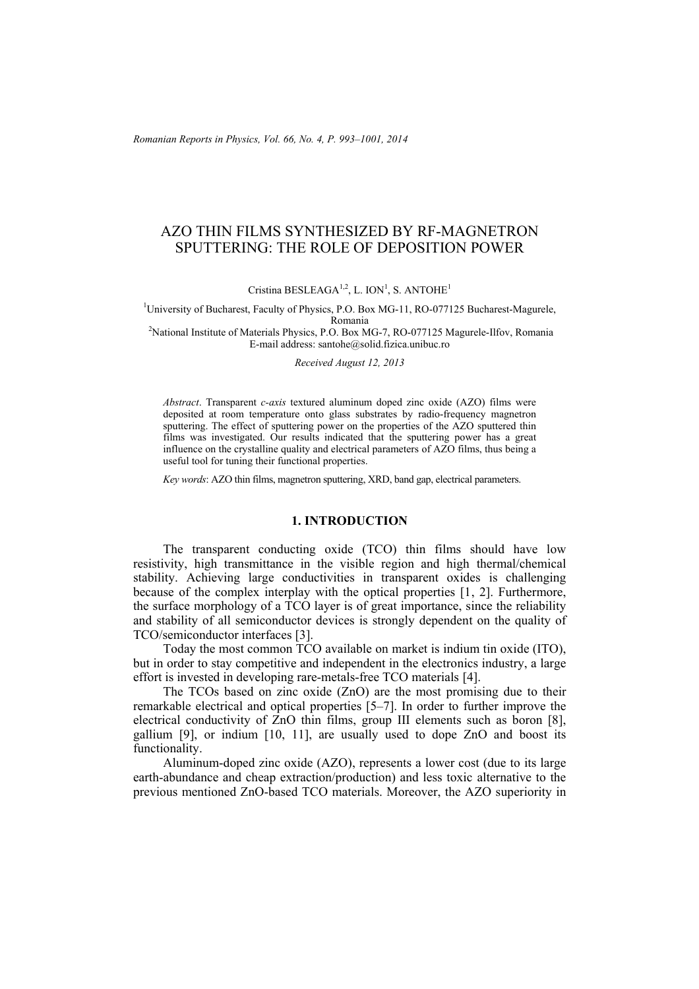*Romanian Reports in Physics, Vol. 66, No. 4, P. 993–1001, 2014*

# AZO THIN FILMS SYNTHESIZED BY RF-MAGNETRON SPUTTERING: THE ROLE OF DEPOSITION POWER

Cristina BESLEAGA<sup>1,2</sup>, L. ION<sup>1</sup>, S. ANTOHE<sup>1</sup>

<sup>1</sup>University of Bucharest, Faculty of Physics, P.O. Box MG-11, RO-077125 Bucharest-Magurele, Romania<br><sup>2</sup>National Institute of Materials Physics, P.O. Box MG-7, RO-077125 Magurele-Ilfov, Romania<sup>2</sup>

E-mail address: santohe@solid.fizica.unibuc.ro

*Received August 12, 2013* 

*Abstract*. Transparent *c-axis* textured aluminum doped zinc oxide (AZO) films were deposited at room temperature onto glass substrates by radio-frequency magnetron sputtering. The effect of sputtering power on the properties of the AZO sputtered thin films was investigated. Our results indicated that the sputtering power has a great influence on the crystalline quality and electrical parameters of AZO films, thus being a useful tool for tuning their functional properties.

*Key words*: AZO thin films, magnetron sputtering, XRD, band gap, electrical parameters.

#### **1. INTRODUCTION**

The transparent conducting oxide (TCO) thin films should have low resistivity, high transmittance in the visible region and high thermal/chemical stability. Achieving large conductivities in transparent oxides is challenging because of the complex interplay with the optical properties [1, 2]. Furthermore, the surface morphology of a TCO layer is of great importance, since the reliability and stability of all semiconductor devices is strongly dependent on the quality of TCO/semiconductor interfaces [3].

Today the most common TCO available on market is indium tin oxide (ITO), but in order to stay competitive and independent in the electronics industry, a large effort is invested in developing rare-metals-free TCO materials [4].

The TCOs based on zinc oxide (ZnO) are the most promising due to their remarkable electrical and optical properties [5–7]. In order to further improve the electrical conductivity of ZnO thin films, group III elements such as boron [8], gallium [9], or indium [10, 11], are usually used to dope ZnO and boost its functionality.

Aluminum-doped zinc oxide (AZO), represents a lower cost (due to its large earth-abundance and cheap extraction/production) and less toxic alternative to the previous mentioned ZnO-based TCO materials. Moreover, the AZO superiority in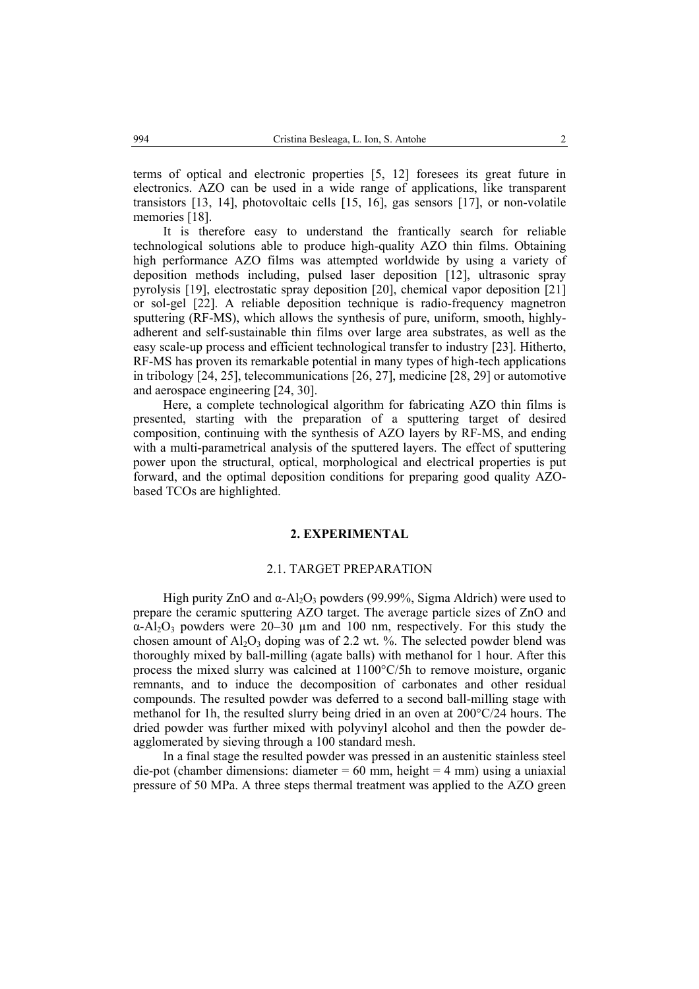terms of optical and electronic properties [5, 12] foresees its great future in electronics. AZO can be used in a wide range of applications, like transparent transistors [13, 14], photovoltaic cells [15, 16], gas sensors [17], or non-volatile memories [18].

It is therefore easy to understand the frantically search for reliable technological solutions able to produce high-quality AZO thin films. Obtaining high performance AZO films was attempted worldwide by using a variety of deposition methods including, pulsed laser deposition [12], ultrasonic spray pyrolysis [19], electrostatic spray deposition [20], chemical vapor deposition [21] or sol-gel [22]. A reliable deposition technique is radio-frequency magnetron sputtering (RF-MS), which allows the synthesis of pure, uniform, smooth, highlyadherent and self-sustainable thin films over large area substrates, as well as the easy scale-up process and efficient technological transfer to industry [23]. Hitherto, RF-MS has proven its remarkable potential in many types of high-tech applications in tribology [24, 25], telecommunications [26, 27], medicine [28, 29] or automotive and aerospace engineering [24, 30].

Here, a complete technological algorithm for fabricating AZO thin films is presented, starting with the preparation of a sputtering target of desired composition, continuing with the synthesis of AZO layers by RF-MS, and ending with a multi-parametrical analysis of the sputtered layers. The effect of sputtering power upon the structural, optical, morphological and electrical properties is put forward, and the optimal deposition conditions for preparing good quality AZObased TCOs are highlighted.

# **2. EXPERIMENTAL**

## 2.1. TARGET PREPARATION

High purity ZnO and  $\alpha$ -Al<sub>2</sub>O<sub>3</sub> powders (99.99%, Sigma Aldrich) were used to prepare the ceramic sputtering AZO target. The average particle sizes of ZnO and  $\alpha$ -Al<sub>2</sub>O<sub>3</sub> powders were 20–30  $\mu$ m and 100 nm, respectively. For this study the chosen amount of  $Al_2O_3$  doping was of 2.2 wt. %. The selected powder blend was thoroughly mixed by ball-milling (agate balls) with methanol for 1 hour. After this process the mixed slurry was calcined at 1100°C/5h to remove moisture, organic remnants, and to induce the decomposition of carbonates and other residual compounds. The resulted powder was deferred to a second ball-milling stage with methanol for 1h, the resulted slurry being dried in an oven at 200°C/24 hours. The dried powder was further mixed with polyvinyl alcohol and then the powder deagglomerated by sieving through a 100 standard mesh.

In a final stage the resulted powder was pressed in an austenitic stainless steel die-pot (chamber dimensions: diameter =  $60$  mm, height =  $4$  mm) using a uniaxial pressure of 50 MPa. A three steps thermal treatment was applied to the AZO green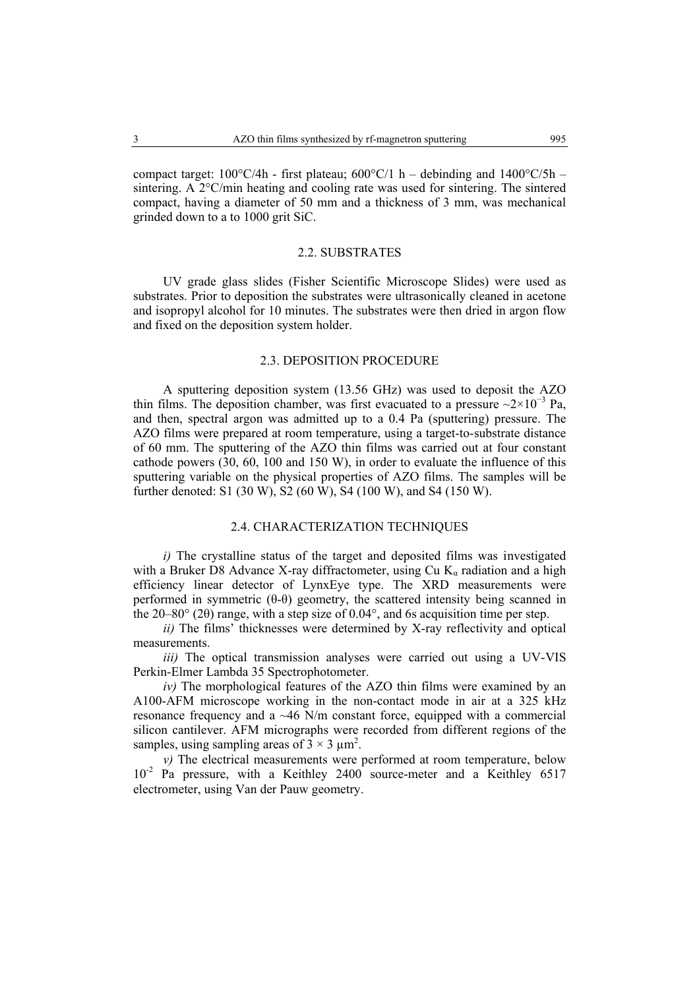compact target:  $100^{\circ}$ C/4h - first plateau;  $600^{\circ}$ C/1 h – debinding and  $1400^{\circ}$ C/5h – sintering. A 2°C/min heating and cooling rate was used for sintering. The sintered compact, having a diameter of 50 mm and a thickness of 3 mm, was mechanical grinded down to a to 1000 grit SiC.

### 2.2. SUBSTRATES

UV grade glass slides (Fisher Scientific Microscope Slides) were used as substrates. Prior to deposition the substrates were ultrasonically cleaned in acetone and isopropyl alcohol for 10 minutes. The substrates were then dried in argon flow and fixed on the deposition system holder.

### 2.3. DEPOSITION PROCEDURE

A sputtering deposition system (13.56 GHz) was used to deposit the AZO thin films. The deposition chamber, was first evacuated to a pressure  $\sim$ 2×10<sup>-3</sup> Pa, and then, spectral argon was admitted up to a 0.4 Pa (sputtering) pressure. The AZO films were prepared at room temperature, using a target-to-substrate distance of 60 mm. The sputtering of the AZO thin films was carried out at four constant cathode powers (30, 60, 100 and 150 W), in order to evaluate the influence of this sputtering variable on the physical properties of AZO films. The samples will be further denoted: S1 (30 W), S2 (60 W), S4 (100 W), and S4 (150 W).

#### 2.4. CHARACTERIZATION TECHNIQUES

*i*) The crystalline status of the target and deposited films was investigated with a Bruker D8 Advance X-ray diffractometer, using Cu  $K_a$  radiation and a high efficiency linear detector of LynxEye type. The XRD measurements were performed in symmetric (θ-θ) geometry, the scattered intensity being scanned in the 20–80° (2θ) range, with a step size of 0.04°, and 6s acquisition time per step.

 *ii)* The films' thicknesses were determined by X-ray reflectivity and optical measurements.

*iii*) The optical transmission analyses were carried out using a UV-VIS Perkin-Elmer Lambda 35 Spectrophotometer.

 *iv)* The morphological features of the AZO thin films were examined by an A100-AFM microscope working in the non-contact mode in air at a 325 kHz resonance frequency and a  $~46$  N/m constant force, equipped with a commercial silicon cantilever. AFM micrographs were recorded from different regions of the samples, using sampling areas of  $3 \times 3 \mu m^2$ .

 *v)* The electrical measurements were performed at room temperature, below 10<sup>-2</sup> Pa pressure, with a Keithley 2400 source-meter and a Keithley 6517 electrometer, using Van der Pauw geometry.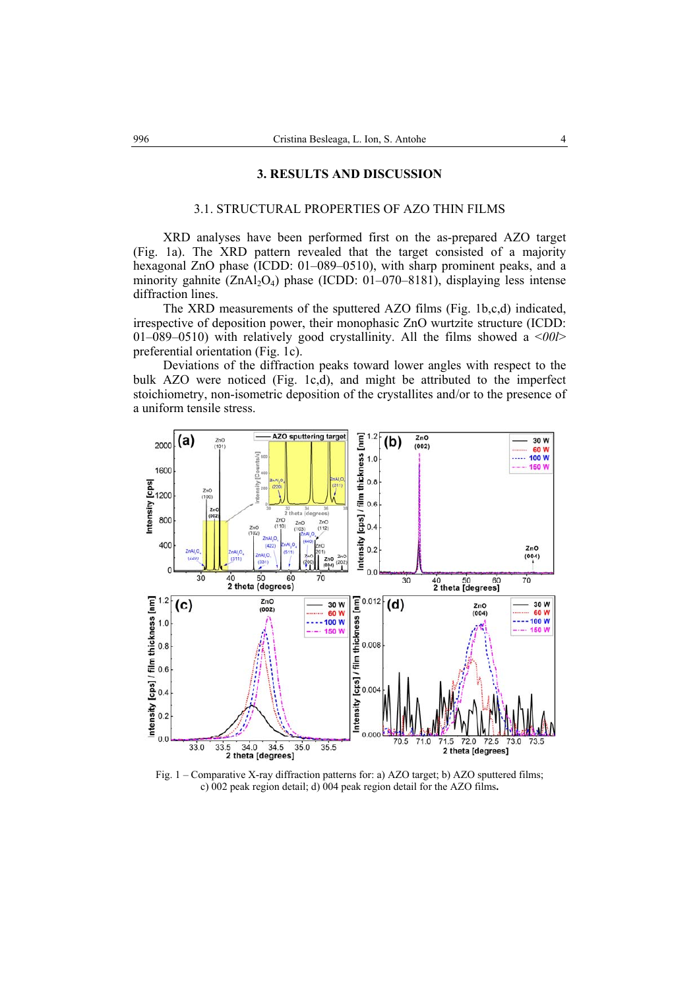#### **3. RESULTS AND DISCUSSION**

## 3.1. STRUCTURAL PROPERTIES OF AZO THIN FILMS

XRD analyses have been performed first on the as-prepared AZO target (Fig. 1a). The XRD pattern revealed that the target consisted of a majority hexagonal ZnO phase (ICDD: 01–089–0510), with sharp prominent peaks, and a minority gahnite  $(ZnAl_2O_4)$  phase (ICDD: 01–070–8181), displaying less intense diffraction lines.

The XRD measurements of the sputtered AZO films (Fig. 1b,c,d) indicated, irrespective of deposition power, their monophasic ZnO wurtzite structure (ICDD: 01–089–0510) with relatively good crystallinity. All the films showed a <*00l*> preferential orientation (Fig. 1c).

Deviations of the diffraction peaks toward lower angles with respect to the bulk AZO were noticed (Fig. 1c,d), and might be attributed to the imperfect stoichiometry, non-isometric deposition of the crystallites and/or to the presence of a uniform tensile stress.



Fig. 1 – Comparative X-ray diffraction patterns for: a) AZO target; b) AZO sputtered films; c) 002 peak region detail; d) 004 peak region detail for the AZO films**.**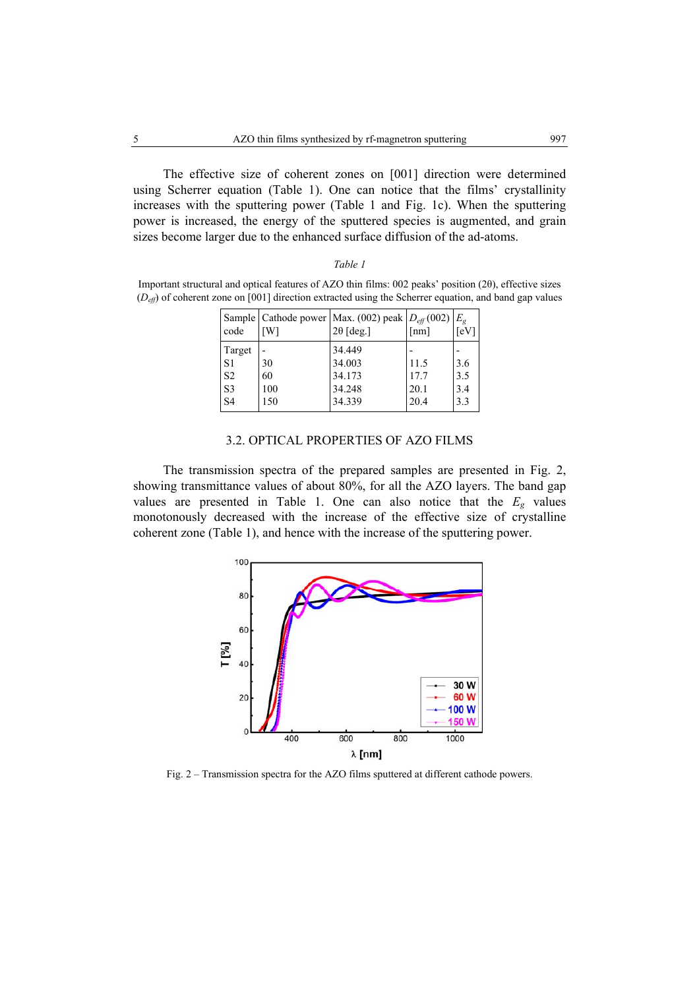The effective size of coherent zones on [001] direction were determined using Scherrer equation (Table 1). One can notice that the films' crystallinity increases with the sputtering power (Table 1 and Fig. 1c). When the sputtering power is increased, the energy of the sputtered species is augmented, and grain sizes become larger due to the enhanced surface diffusion of the ad-atoms.

#### *Table 1*

Important structural and optical features of AZO thin films: 002 peaks' position (2θ), effective sizes (*Deff*) of coherent zone on [001] direction extracted using the Scherrer equation, and band gap values

| code                                                                           | [W]                    | Sample   Cathode power   Max. (002) peak $D_{\text{eff}}(002)$<br>$2\theta$ [deg.] | [nm]                         | $E_{\varrho}$<br>[eV]    |
|--------------------------------------------------------------------------------|------------------------|------------------------------------------------------------------------------------|------------------------------|--------------------------|
| Target<br>S <sub>1</sub><br>S <sub>2</sub><br>S <sub>3</sub><br>S <sub>4</sub> | 30<br>60<br>100<br>150 | 34.449<br>34.003<br>34.173<br>34.248<br>34.339                                     | 11.5<br>17.7<br>20.1<br>20.4 | 3.6<br>3.5<br>3.4<br>3.3 |

#### 3.2. OPTICAL PROPERTIES OF AZO FILMS

The transmission spectra of the prepared samples are presented in Fig. 2, showing transmittance values of about 80%, for all the AZO layers. The band gap values are presented in Table 1. One can also notice that the  $E<sub>g</sub>$  values monotonously decreased with the increase of the effective size of crystalline coherent zone (Table 1), and hence with the increase of the sputtering power.



Fig. 2 – Transmission spectra for the AZO films sputtered at different cathode powers.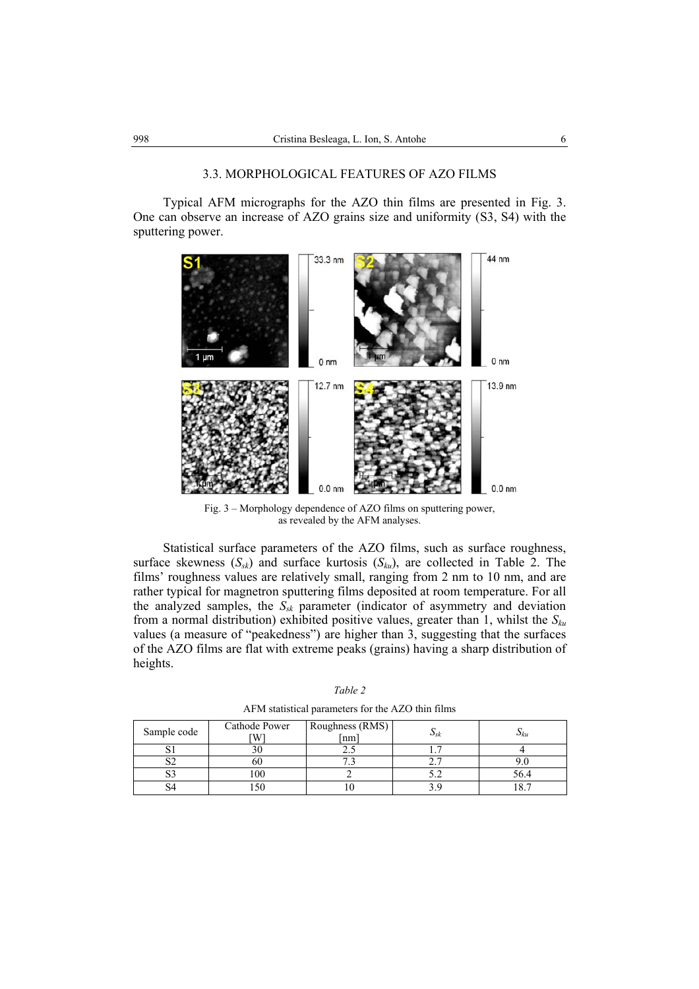# 3.3. MORPHOLOGICAL FEATURES OF AZO FILMS

 Typical AFM micrographs for the AZO thin films are presented in Fig. 3. One can observe an increase of AZO grains size and uniformity (S3, S4) with the sputtering power.



Fig. 3 – Morphology dependence of AZO films on sputtering power, as revealed by the AFM analyses.

Statistical surface parameters of the AZO films, such as surface roughness, surface skewness  $(S_{sk})$  and surface kurtosis  $(S_{ku})$ , are collected in Table 2. The films' roughness values are relatively small, ranging from 2 nm to 10 nm, and are rather typical for magnetron sputtering films deposited at room temperature. For all the analyzed samples, the *Ssk* parameter (indicator of asymmetry and deviation from a normal distribution) exhibited positive values, greater than 1, whilst the *Sku* values (a measure of "peakedness") are higher than 3, suggesting that the surfaces of the AZO films are flat with extreme peaks (grains) having a sharp distribution of heights.

| THE IN SUITSING PUTATIONS TOF THE TELL THIS |                    |                       |             |                |  |  |
|---------------------------------------------|--------------------|-----------------------|-------------|----------------|--|--|
| Sample code                                 | Cathode Power<br>W | Roughness (RMS)<br>nm | $\cup_{SK}$ | $\cup_{ku}$    |  |  |
|                                             | 3U                 |                       |             |                |  |  |
| ◡                                           | 60                 |                       |             |                |  |  |
|                                             | 100                |                       |             | 56.4           |  |  |
|                                             | .50                |                       |             | 0 <sub>7</sub> |  |  |

*Table 2* AFM statistical parameters for the AZO thin films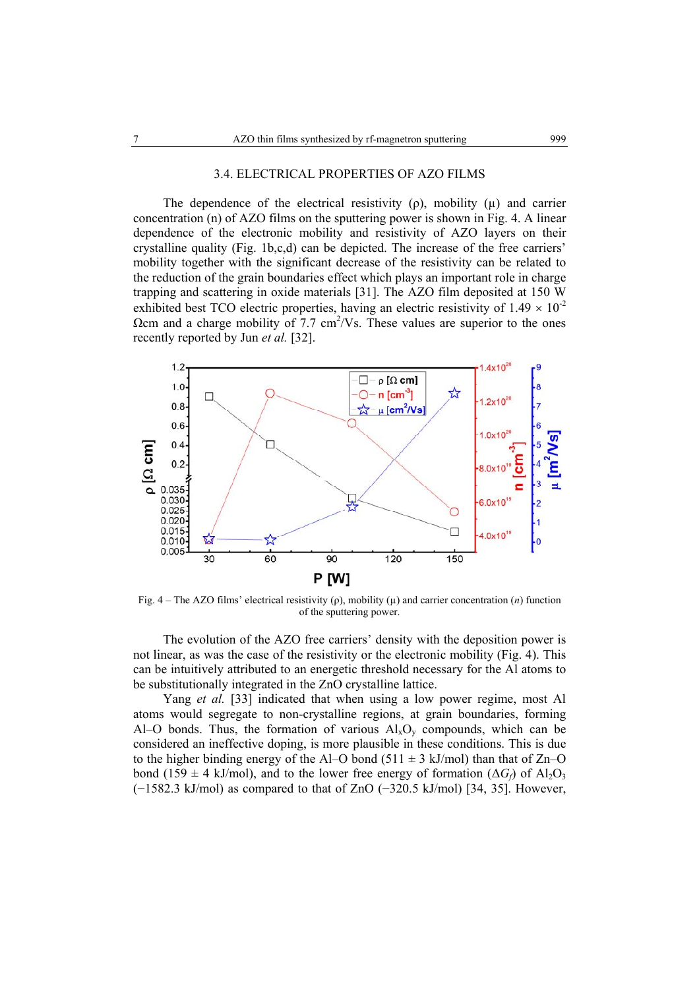## 3.4. ELECTRICAL PROPERTIES OF AZO FILMS

The dependence of the electrical resistivity ( $\rho$ ), mobility ( $\mu$ ) and carrier concentration (n) of AZO films on the sputtering power is shown in Fig. 4. A linear dependence of the electronic mobility and resistivity of AZO layers on their crystalline quality (Fig. 1b,c,d) can be depicted. The increase of the free carriers' mobility together with the significant decrease of the resistivity can be related to the reduction of the grain boundaries effect which plays an important role in charge trapping and scattering in oxide materials [31]. The AZO film deposited at 150 W exhibited best TCO electric properties, having an electric resistivity of  $1.49 \times 10^{-2}$  $Ω$ cm and a charge mobility of  $7.7 \text{ cm}^2$ /Vs. These values are superior to the ones recently reported by Jun *et al.* [32].



Fig. 4 – The AZO films' electrical resistivity (ρ), mobility (µ) and carrier concentration (*n*) function of the sputtering power.

 The evolution of the AZO free carriers' density with the deposition power is not linear, as was the case of the resistivity or the electronic mobility (Fig. 4). This can be intuitively attributed to an energetic threshold necessary for the Al atoms to be substitutionally integrated in the ZnO crystalline lattice.

Yang *et al.* [33] indicated that when using a low power regime, most Al atoms would segregate to non-crystalline regions, at grain boundaries, forming Al–O bonds. Thus, the formation of various  $Al_xO_y$  compounds, which can be considered an ineffective doping, is more plausible in these conditions. This is due to the higher binding energy of the Al–O bond (511  $\pm$  3 kJ/mol) than that of Zn–O bond (159  $\pm$  4 kJ/mol), and to the lower free energy of formation ( $\Delta G_f$ ) of Al<sub>2</sub>O<sub>3</sub> (−1582.3 kJ/mol) as compared to that of ZnO (−320.5 kJ/mol) [34, 35]. However,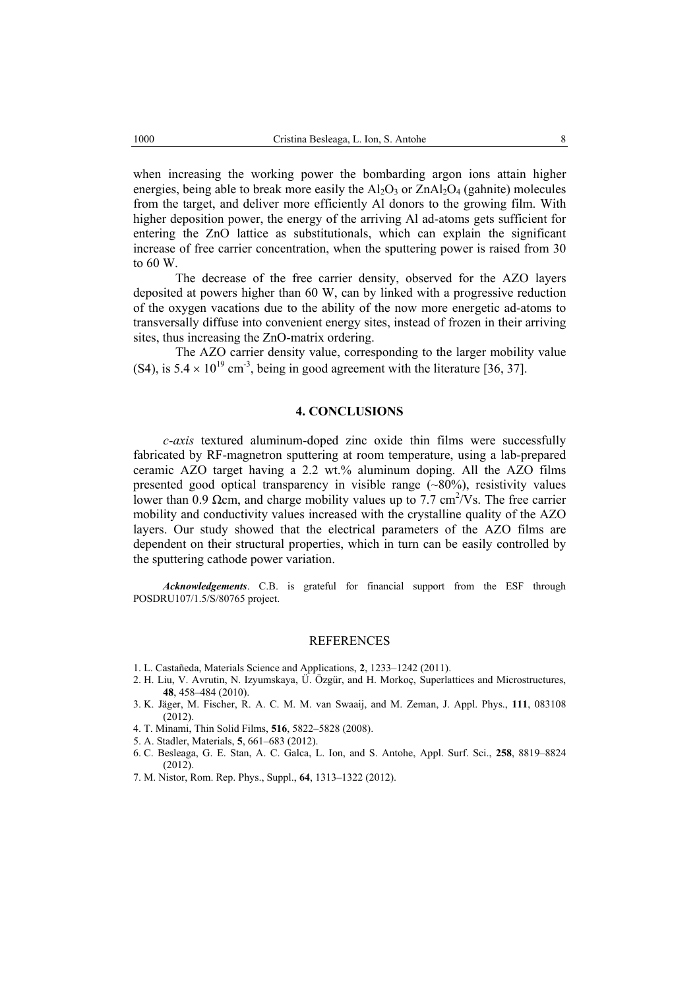when increasing the working power the bombarding argon ions attain higher energies, being able to break more easily the  $Al_2O_3$  or  $ZnAl_2O_4$  (gahnite) molecules from the target, and deliver more efficiently Al donors to the growing film. With higher deposition power, the energy of the arriving Al ad-atoms gets sufficient for entering the ZnO lattice as substitutionals, which can explain the significant increase of free carrier concentration, when the sputtering power is raised from 30 to 60 W.

The decrease of the free carrier density, observed for the AZO layers deposited at powers higher than 60 W, can by linked with a progressive reduction of the oxygen vacations due to the ability of the now more energetic ad-atoms to transversally diffuse into convenient energy sites, instead of frozen in their arriving sites, thus increasing the ZnO-matrix ordering.

The AZO carrier density value, corresponding to the larger mobility value (S4), is  $5.4 \times 10^{19}$  cm<sup>-3</sup>, being in good agreement with the literature [36, 37].

# **4. CONCLUSIONS**

*c-axis* textured aluminum-doped zinc oxide thin films were successfully fabricated by RF-magnetron sputtering at room temperature, using a lab-prepared ceramic AZO target having a 2.2 wt.% aluminum doping. All the AZO films presented good optical transparency in visible range  $(\sim 80\%)$ , resistivity values lower than 0.9  $\Omega$ cm, and charge mobility values up to 7.7 cm<sup>2</sup>/Vs. The free carrier mobility and conductivity values increased with the crystalline quality of the AZO layers. Our study showed that the electrical parameters of the AZO films are dependent on their structural properties, which in turn can be easily controlled by the sputtering cathode power variation.

*Acknowledgements*. C.B. is grateful for financial support from the ESF through POSDRU107/1.5/S/80765 project.

# **REFERENCES**

- 1. L. Castañeda, Materials Science and Applications, **2**, 1233–1242 (2011).
- 2. H. Liu, V. Avrutin, N. Izyumskaya, Ü. Özgür, and H. Morkoç, Superlattices and Microstructures, **48**, 458–484 (2010).
- 3. K. Jäger, M. Fischer, R. A. C. M. M. van Swaaij, and M. Zeman, J. Appl. Phys., **111**, 083108  $(2012)$
- 4. T. Minami, Thin Solid Films, **516**, 5822–5828 (2008).
- 5. A. Stadler, Materials, **5**, 661–683 (2012).
- 6. C. Besleaga, G. E. Stan, A. C. Galca, L. Ion, and S. Antohe, Appl. Surf. Sci., **258**, 8819–8824 (2012).
- 7. M. Nistor, Rom. Rep. Phys., Suppl., **64**, 1313–1322 (2012).